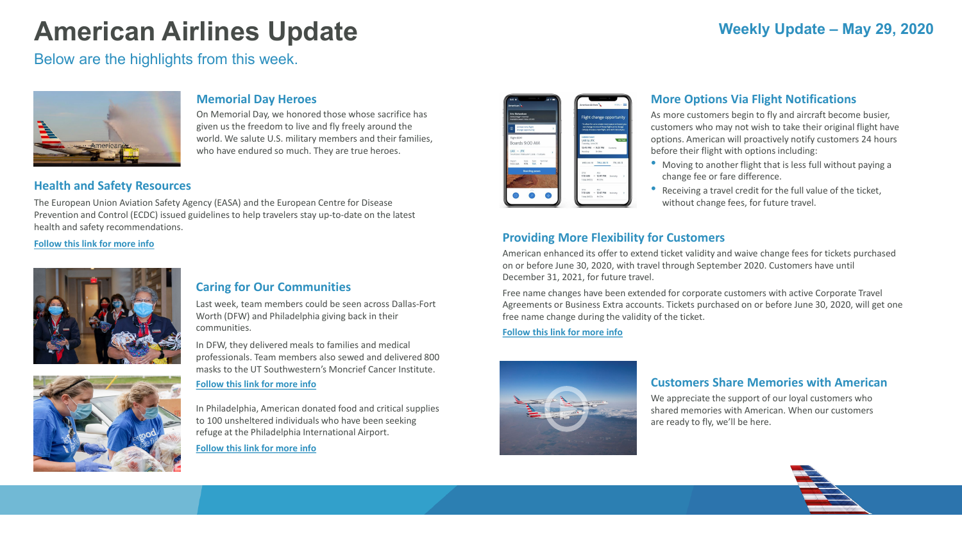# **American Airlines Update**

Below are the highlights from this week.



# **Weekly Update – May 29, 2020**

#### **Memorial Day Heroes**

On Memorial Day, we honored those whose sacrifice has given us the freedom to live and fly freely around the world. We salute U.S. military members and their families, who have endured so much. They are true heroes.

### **Customers Share Memories with American**

We appreciate the support of our loyal customers who shared memories with American. When our customers are ready to fly, we'll be here.

### **Providing More Flexibility for Customers**

American enhanced its offer to extend ticket validity and waive change fees for tickets purchased on or before June 30, 2020, with travel through September 2020. Customers have until December 31, 2021, for future travel.

Free name changes have been extended for corporate customers with active Corporate Travel Agreements or Business Extra accounts. Tickets purchased on or before June 30, 2020, will get one free name change during the validity of the ticket.

**[Follow this link for more info](https://saleslink.aa.com/en-US/#collapse1)**



### **Health and Safety Resources**

The European Union Aviation Safety Agency (EASA) and the European Centre for Disease Prevention and Control (ECDC) issued guidelines to help travelers stay up-to-date on the latest health and safety recommendations.

**[Follow this link for more info](https://www.easa.europa.eu/newsroom-and-events/news/easaecdc-issue-joint-guidelines-assure-health-safety-air-travel-despite)**





### **More Options Via Flight Notifications**

As more customers begin to fly and aircraft become busier, customers who may not wish to take their original flight have options. American will proactively notify customers 24 hours before their flight with options including:

• Moving to another flight that is less full without paying a

• Receiving a travel credit for the full value of the ticket,



- change fee or fare difference.
- without change fees, for future travel.

### **Caring for Our Communities**

Last week, team members could be seen across Dallas-Fort Worth (DFW) and Philadelphia giving back in their communities.

In DFW, they delivered meals to families and medical professionals. Team members also sewed and delivered 800 masks to the UT Southwestern's Moncrief Cancer Institute.

#### **[Follow this link for more info](http://news.aa.com/american-stories/american-stories-details/2020/Lending-a-helping-hand-in-the-Dallas-Fort-Worth-community-COMM-VOL-05/default.aspx?utm_source=Jetwire_20200519&utm_medium=email&utm_campaign=Jetwire_tracking)**

In Philadelphia, American donated food and critical supplies to 100 unsheltered individuals who have been seeking refuge at the Philadelphia International Airport.

**[Follow this link for more info](http://news.aa.com/news/news-details/2020/American-Airlines-Helps-Provide-Relief-to-the-Unsheltered-in-Philadelphia-COMM-VOL-05/)**

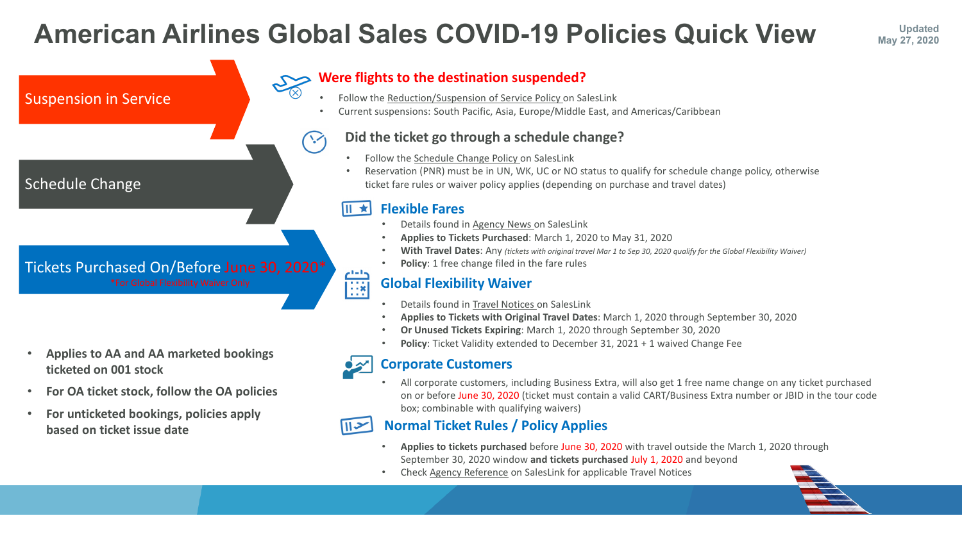### $\begin{tabular}{|c|c|} \hline \quad \quad \quad & \quad \quad & \quad \quad \\ \hline \quad \quad & \quad \quad & \quad \quad \\ \hline \quad \quad & \quad \quad & \quad \quad \\ \hline \quad \quad & \quad \quad & \quad \quad \\ \hline \quad \quad & \quad \quad & \quad \quad \\ \hline \quad \quad & \quad \quad & \quad \quad \\ \hline \quad \quad & \quad \quad & \quad \quad \\ \hline \end{tabular}$ **Global Flexibility Waiver**

- Details found in [Travel Notices o](https://saleslink.aa.com/en-US/blog/2020/travel_advisory/coronavirus-global-flexibility-waiver-travel-notice-exception-policy.html)n SalesLink
- **Applies to Tickets with Original Travel Dates**: March 1, 2020 through September 30, 2020
- **Or Unused Tickets Expiring**: March 1, 2020 through September 30, 2020
- **Policy**: Ticket Validity extended to December 31, 2021 + 1 waived Change Fee



# **Did the ticket go through a schedule change?**

- Details found in [Agency News](https://saleslink.aa.com/en-us/blog/2020/agency_news/american-airlines-most-flexible-policies-to-date.html) on SalesLink
- **Applies to Tickets Purchased**: March 1, 2020 to May 31, 2020
- **With Travel Dates**: Any *(tickets with original travel Mar 1 to Sep 30, 2020 qualify for the Global Flexibility Waiver)*
- **Policy**: 1 free change filed in the fare rules
- Follow the [Schedule Change Policy](https://saleslink.aa.com/en-US/#/AgencyRefer) on SalesLink
- Reservation (PNR) must be in UN, WK, UC or NO status to qualify for schedule change policy, otherwise ticket fare rules or waiver policy applies (depending on purchase and travel dates)

# **Were flights to the destination suspended?**

- Follow the [Reduction/Suspension of Service Policy](https://saleslink.aa.com/en-us/schedulechange.html) on SalesLink
- Current suspensions: South Pacific, Asia, Europe/Middle East, and Americas/Caribbean

# **Flexible Fares**

# **American Airlines Global Sales COVID-19 Policies Quick View May 27. 2020**



# **Normal Ticket Rules / Policy Applies**

- **Applies to tickets purchased** before June 30, 2020 with travel outside the March 1, 2020 through September 30, 2020 window **and tickets purchased** July 1, 2020 and beyond
- Check [Agency Reference](https://saleslink.aa.com/agencyreference/en/#/home) on SalesLink for applicable Travel Notices



- **Applies to AA and AA marketed bookings ticketed on 001 stock**
- **For OA ticket stock, follow the OA policies**
- **For unticketed bookings, policies apply based on ticket issue date**

# **Corporate Customers**

• All corporate customers, including Business Extra, will also get 1 free name change on any ticket purchased on or before June 30, 2020 (ticket must contain a valid CART/Business Extra number or JBID in the tour code box; combinable with qualifying waivers)



# **May 27, 2020**